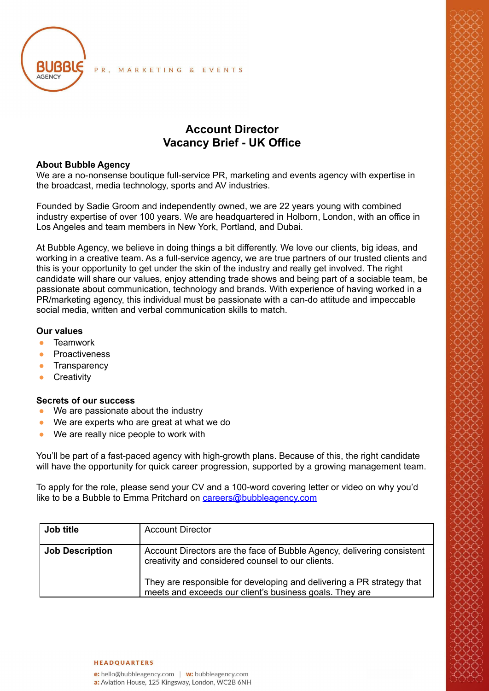

# **Account Director Vacancy Brief - UK Office**

### **About Bubble Agency**

We are a no-nonsense boutique full-service PR, marketing and events agency with expertise in the broadcast, media technology, sports and AV industries.

Founded by Sadie Groom and independently owned, we are 22 years young with combined industry expertise of over 100 years. We are headquartered in Holborn, London, with an office in Los Angeles and team members in New York, Portland, and Dubai.

At Bubble Agency, we believe in doing things a bit differently. We love our clients, big ideas, and working in a creative team. As a full-service agency, we are true partners of our trusted clients and this is your opportunity to get under the skin of the industry and really get involved. The right candidate will share our values, enjoy attending trade shows and being part of a sociable team, be passionate about communication, technology and brands. With experience of having worked in a PR/marketing agency, this individual must be passionate with a can-do attitude and impeccable social media, written and verbal communication skills to match.

## **Our values**

- **●** Teamwork
- **●** Proactiveness
- **●** Transparency
- **●** Creativity

#### **Secrets of our success**

- We are passionate about the industry
- We are experts who are great at what we do
- We are really nice people to work with

You'll be part of a fast-paced agency with high-growth plans. Because of this, the right candidate will have the opportunity for quick career progression, supported by a growing management team.

To apply for the role, please send your CV and a 100-word covering letter or video on why you'd like to be a Bubble to Emma Pritchard on [careers@bubbleagency.com](mailto:careers@bubbleagency.com)

| Job title              | <b>Account Director</b>                                                                                                          |
|------------------------|----------------------------------------------------------------------------------------------------------------------------------|
| <b>Job Description</b> | Account Directors are the face of Bubble Agency, delivering consistent<br>creativity and considered counsel to our clients.      |
|                        | They are responsible for developing and delivering a PR strategy that<br>meets and exceeds our client's business goals. They are |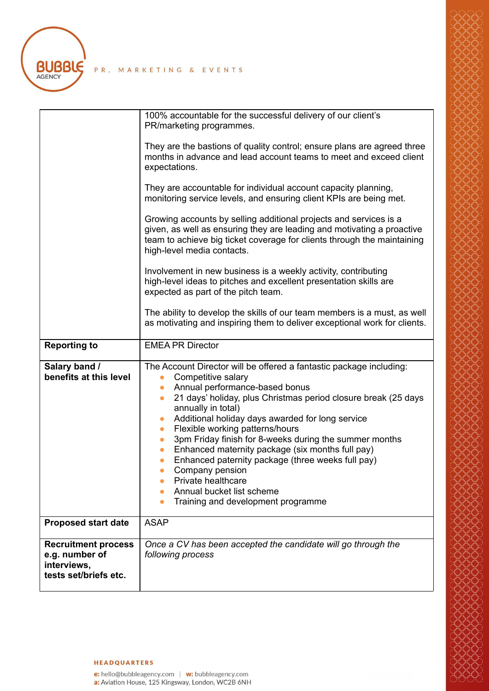**BUBBLE** 

PR, MARKETING & EVENTS

#### **HEADQUARTERS**

e: hello@bubbleagency.com | <mark>w:</mark> bubbleagency.com<br>a: Aviation House, 125 Kingsway, London, WC2B 6NH